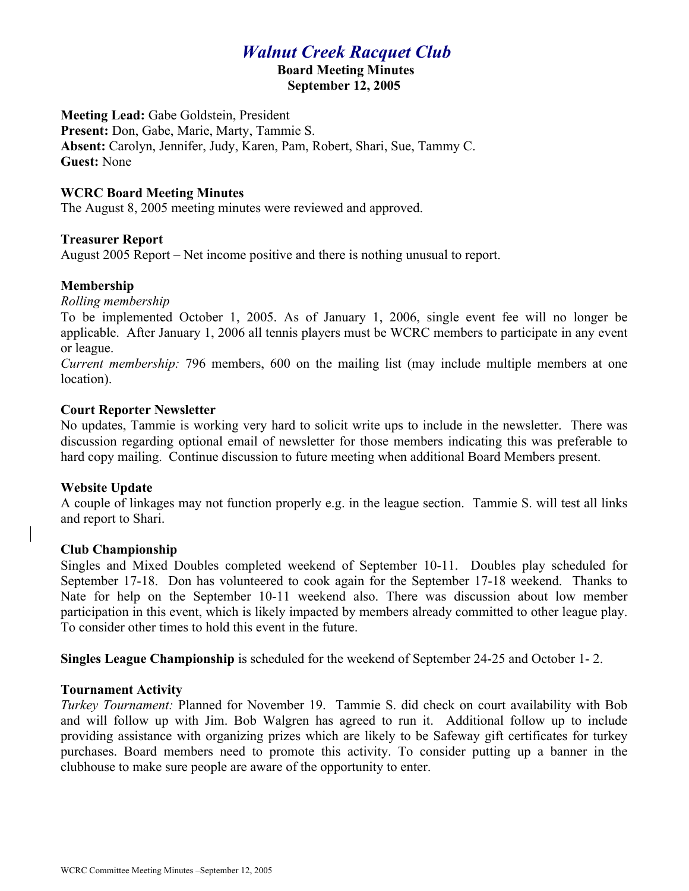# *Walnut Creek Racquet Club*

#### **Board Meeting Minutes September 12, 2005**

**Meeting Lead:** Gabe Goldstein, President **Present:** Don, Gabe, Marie, Marty, Tammie S. **Absent:** Carolyn, Jennifer, Judy, Karen, Pam, Robert, Shari, Sue, Tammy C. **Guest:** None

#### **WCRC Board Meeting Minutes**

The August 8, 2005 meeting minutes were reviewed and approved.

#### **Treasurer Report**

August 2005 Report – Net income positive and there is nothing unusual to report.

# **Membership**

*Rolling membership*

To be implemented October 1, 2005. As of January 1, 2006, single event fee will no longer be applicable. After January 1, 2006 all tennis players must be WCRC members to participate in any event or league.

*Current membership:* 796 members, 600 on the mailing list (may include multiple members at one location).

#### **Court Reporter Newsletter**

No updates, Tammie is working very hard to solicit write ups to include in the newsletter. There was discussion regarding optional email of newsletter for those members indicating this was preferable to hard copy mailing. Continue discussion to future meeting when additional Board Members present.

# **Website Update**

A couple of linkages may not function properly e.g. in the league section. Tammie S. will test all links and report to Shari.

# **Club Championship**

Singles and Mixed Doubles completed weekend of September 10-11. Doubles play scheduled for September 17-18. Don has volunteered to cook again for the September 17-18 weekend. Thanks to Nate for help on the September 10-11 weekend also. There was discussion about low member participation in this event, which is likely impacted by members already committed to other league play. To consider other times to hold this event in the future.

**Singles League Championship** is scheduled for the weekend of September 24-25 and October 1- 2.

# **Tournament Activity**

*Turkey Tournament:* Planned for November 19. Tammie S. did check on court availability with Bob and will follow up with Jim. Bob Walgren has agreed to run it. Additional follow up to include providing assistance with organizing prizes which are likely to be Safeway gift certificates for turkey purchases. Board members need to promote this activity. To consider putting up a banner in the clubhouse to make sure people are aware of the opportunity to enter.